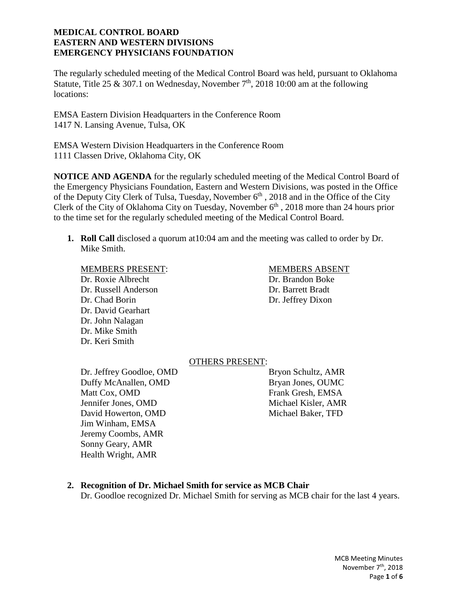The regularly scheduled meeting of the Medical Control Board was held, pursuant to Oklahoma Statute, Title 25 & 307.1 on Wednesday, November  $7<sup>th</sup>$ , 2018 10:00 am at the following locations:

EMSA Eastern Division Headquarters in the Conference Room 1417 N. Lansing Avenue, Tulsa, OK

EMSA Western Division Headquarters in the Conference Room 1111 Classen Drive, Oklahoma City, OK

**NOTICE AND AGENDA** for the regularly scheduled meeting of the Medical Control Board of the Emergency Physicians Foundation, Eastern and Western Divisions, was posted in the Office of the Deputy City Clerk of Tulsa, Tuesday, November  $6<sup>th</sup>$ , 2018 and in the Office of the City Clerk of the City of Oklahoma City on Tuesday, November 6<sup>th</sup>, 2018 more than 24 hours prior to the time set for the regularly scheduled meeting of the Medical Control Board.

**1. Roll Call** disclosed a quorum at10:04 am and the meeting was called to order by Dr. Mike Smith.

Dr. Roxie Albrecht Dr. Brandon Boke Dr. Russell Anderson Dr. Barrett Bradt Dr. Chad Borin Dr. Jeffrey Dixon Dr. David Gearhart Dr. John Nalagan Dr. Mike Smith Dr. Keri Smith

### MEMBERS PRESENT: MEMBERS ABSENT

# OTHERS PRESENT:

Dr. Jeffrey Goodloe, OMD Bryon Schultz, AMR Duffy McAnallen, OMD Bryan Jones, OUMC Matt Cox, OMD Frank Gresh, EMSA Jennifer Jones, OMD Michael Kisler, AMR David Howerton, OMD Michael Baker, TFD Jim Winham, EMSA Jeremy Coombs, AMR Sonny Geary, AMR Health Wright, AMR

### **2. Recognition of Dr. Michael Smith for service as MCB Chair**

Dr. Goodloe recognized Dr. Michael Smith for serving as MCB chair for the last 4 years.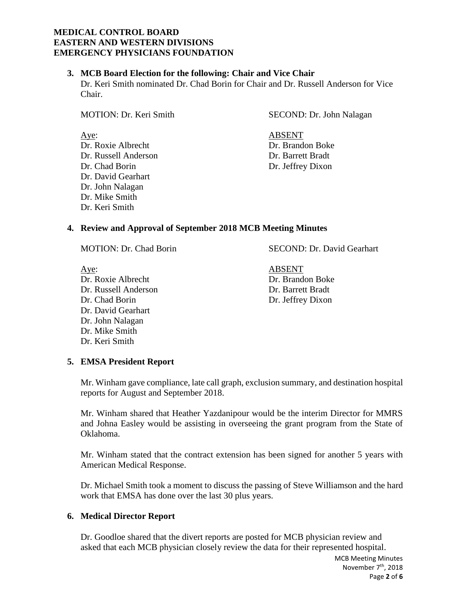## **3. MCB Board Election for the following: Chair and Vice Chair**

Dr. Keri Smith nominated Dr. Chad Borin for Chair and Dr. Russell Anderson for Vice Chair.

Dr. David Gearhart Dr. John Nalagan Dr. Mike Smith Dr. Keri Smith

MOTION: Dr. Keri Smith SECOND: Dr. John Nalagan

Aye: ABSENT Dr. Roxie Albrecht Dr. Brandon Boke Dr. Russell Anderson Dr. Barrett Bradt Dr. Chad Borin Dr. Jeffrey Dixon

# **4. Review and Approval of September 2018 MCB Meeting Minutes**

Aye: ABSENT Dr. Roxie Albrecht Dr. Brandon Boke Dr. Russell Anderson Dr. Barrett Bradt Dr. Chad Borin Dr. Jeffrey Dixon Dr. David Gearhart Dr. John Nalagan Dr. Mike Smith Dr. Keri Smith

MOTION: Dr. Chad Borin SECOND: Dr. David Gearhart

# **5. EMSA President Report**

Mr. Winham gave compliance, late call graph, exclusion summary, and destination hospital reports for August and September 2018.

Mr. Winham shared that Heather Yazdanipour would be the interim Director for MMRS and Johna Easley would be assisting in overseeing the grant program from the State of Oklahoma.

Mr. Winham stated that the contract extension has been signed for another 5 years with American Medical Response.

Dr. Michael Smith took a moment to discuss the passing of Steve Williamson and the hard work that EMSA has done over the last 30 plus years.

# **6. Medical Director Report**

Dr. Goodloe shared that the divert reports are posted for MCB physician review and asked that each MCB physician closely review the data for their represented hospital.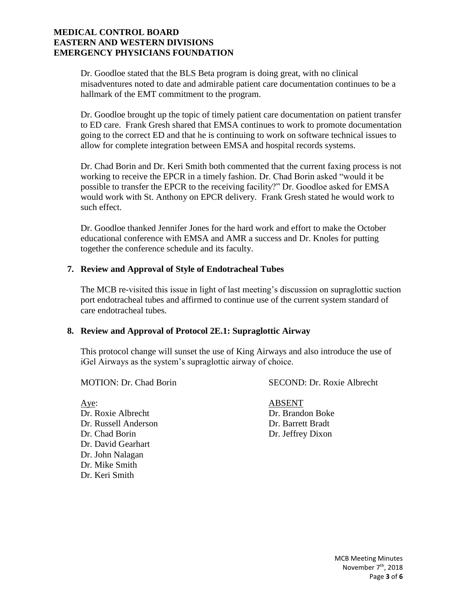Dr. Goodloe stated that the BLS Beta program is doing great, with no clinical misadventures noted to date and admirable patient care documentation continues to be a hallmark of the EMT commitment to the program.

Dr. Goodloe brought up the topic of timely patient care documentation on patient transfer to ED care. Frank Gresh shared that EMSA continues to work to promote documentation going to the correct ED and that he is continuing to work on software technical issues to allow for complete integration between EMSA and hospital records systems.

Dr. Chad Borin and Dr. Keri Smith both commented that the current faxing process is not working to receive the EPCR in a timely fashion. Dr. Chad Borin asked "would it be possible to transfer the EPCR to the receiving facility?" Dr. Goodloe asked for EMSA would work with St. Anthony on EPCR delivery. Frank Gresh stated he would work to such effect.

Dr. Goodloe thanked Jennifer Jones for the hard work and effort to make the October educational conference with EMSA and AMR a success and Dr. Knoles for putting together the conference schedule and its faculty.

## **7. Review and Approval of Style of Endotracheal Tubes**

The MCB re-visited this issue in light of last meeting's discussion on supraglottic suction port endotracheal tubes and affirmed to continue use of the current system standard of care endotracheal tubes.

### **8. Review and Approval of Protocol 2E.1: Supraglottic Airway**

This protocol change will sunset the use of King Airways and also introduce the use of iGel Airways as the system's supraglottic airway of choice.

MOTION: Dr. Chad Borin SECOND: Dr. Roxie Albrecht

Aye: ABSENT Dr. Roxie Albrecht Dr. Brandon Boke Dr. Russell Anderson Dr. Barrett Bradt Dr. Chad Borin Dr. Jeffrey Dixon Dr. David Gearhart Dr. John Nalagan Dr. Mike Smith Dr. Keri Smith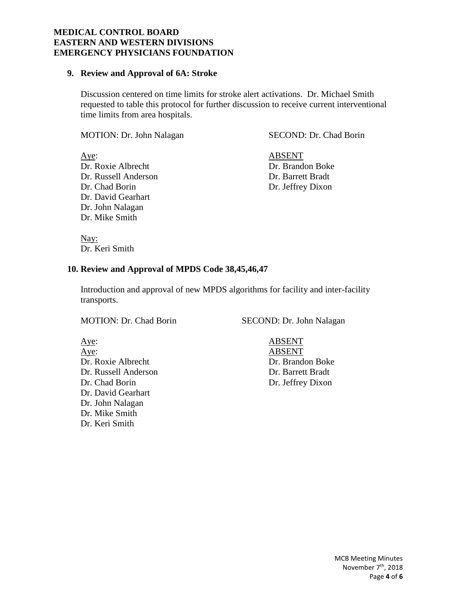#### **9. Review and Approval of 6A: Stroke**

Discussion centered on time limits for stroke alert activations. Dr. Michael Smith requested to table this protocol for further discussion to receive current interventional time limits from area hospitals.

MOTION: Dr. John Nalagan SECOND: Dr. Chad Borin

Aye: ABSENT Dr. Roxie Albrecht Dr. Brandon Boke Dr. Russell Anderson Dr. Barrett Bradt Dr. Chad Borin Dr. Jeffrey Dixon Dr. David Gearhart Dr. John Nalagan Dr. Mike Smith

Nay: Dr. Keri Smith

### **10. Review and Approval of MPDS Code 38,45,46,47**

Introduction and approval of new MPDS algorithms for facility and inter-facility transports.

MOTION: Dr. Chad Borin SECOND: Dr. John Nalagan

Aye: ABSENT Aye: ABSENT Dr. Roxie Albrecht Dr. Brandon Boke Dr. Russell Anderson Dr. Barrett Bradt Dr. Chad Borin Dr. Jeffrey Dixon Dr. David Gearhart Dr. John Nalagan Dr. Mike Smith Dr. Keri Smith

MCB Meeting Minutes November 7<sup>th</sup>, 2018 Page **4** of **6**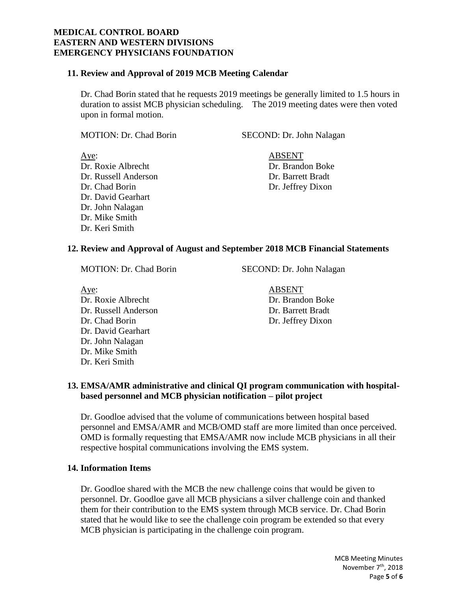## **11. Review and Approval of 2019 MCB Meeting Calendar**

Dr. Chad Borin stated that he requests 2019 meetings be generally limited to 1.5 hours in duration to assist MCB physician scheduling. The 2019 meeting dates were then voted upon in formal motion.

MOTION: Dr. Chad Borin SECOND: Dr. John Nalagan

Aye: ABSENT Dr. Roxie Albrecht Dr. Brandon Boke Dr. Russell Anderson Dr. Barrett Bradt Dr. Chad Borin Dr. Jeffrey Dixon Dr. David Gearhart Dr. John Nalagan Dr. Mike Smith Dr. Keri Smith

## **12. Review and Approval of August and September 2018 MCB Financial Statements**

MOTION: Dr. Chad Borin SECOND: Dr. John Nalagan

Aye: ABSENT Dr. Roxie Albrecht Dr. Brandon Boke Dr. Russell Anderson Dr. Barrett Bradt Dr. Chad Borin Dr. Jeffrey Dixon Dr. David Gearhart Dr. John Nalagan Dr. Mike Smith Dr. Keri Smith

# **13. EMSA/AMR administrative and clinical QI program communication with hospitalbased personnel and MCB physician notification – pilot project**

Dr. Goodloe advised that the volume of communications between hospital based personnel and EMSA/AMR and MCB/OMD staff are more limited than once perceived. OMD is formally requesting that EMSA/AMR now include MCB physicians in all their respective hospital communications involving the EMS system.

# **14. Information Items**

Dr. Goodloe shared with the MCB the new challenge coins that would be given to personnel. Dr. Goodloe gave all MCB physicians a silver challenge coin and thanked them for their contribution to the EMS system through MCB service. Dr. Chad Borin stated that he would like to see the challenge coin program be extended so that every MCB physician is participating in the challenge coin program.